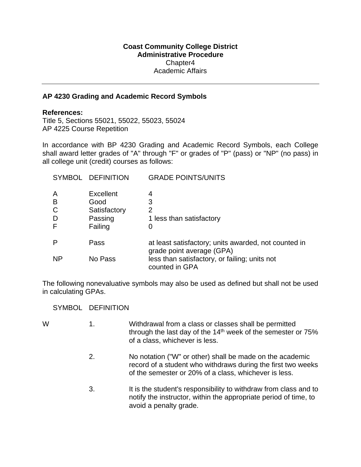## **Coast Community College District Administrative Procedure**  Chapter4 Academic Affairs

## **AP 4230 Grading and Academic Record Symbols**

## **References:**

Title 5, Sections 55021, 55022, 55023, 55024 AP 4225 Course Repetition

In accordance with BP 4230 Grading and Academic Record Symbols, each College shall award letter grades of "A" through "F" or grades of "P" (pass) or "NP" (no pass) in all college unit (credit) courses as follows:

|                       | SYMBOL DEFINITION                                       | <b>GRADE POINTS/UNITS</b>                                                         |
|-----------------------|---------------------------------------------------------|-----------------------------------------------------------------------------------|
| Α<br>B<br>С<br>D<br>F | Excellent<br>Good<br>Satisfactory<br>Passing<br>Failing | 4<br>3<br>2<br>1 less than satisfactory<br>0                                      |
| P                     | Pass                                                    | at least satisfactory; units awarded, not counted in<br>grade point average (GPA) |
| <b>NP</b>             | No Pass                                                 | less than satisfactory, or failing; units not<br>counted in GPA                   |

The following nonevaluative symbols may also be used as defined but shall not be used in calculating GPAs.

SYMBOL DEFINITION

- W 1. Withdrawal from a class or classes shall be permitted through the last day of the  $14<sup>th</sup>$  week of the semester or  $75%$  of a class, whichever is less.
	- 2. No notation ("W" or other) shall be made on the academic record of a student who withdraws during the first two weeks of the semester or 20% of a class, whichever is less.
	- 3. It is the student's responsibility to withdraw from class and to notify the instructor, within the appropriate period of time, to avoid a penalty grade.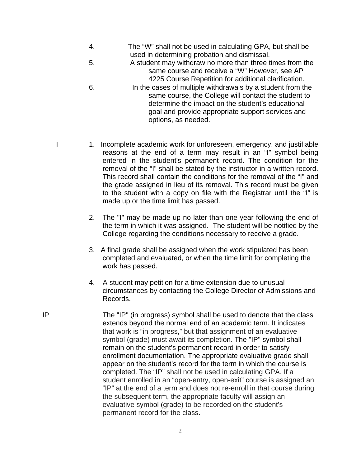- 4. The "W" shall not be used in calculating GPA, but shall be used in determining probation and dismissal.
- 5. A student may withdraw no more than three times from the same course and receive a "W" However, see AP 4225 Course Repetition for additional clarification.
- 6. In the cases of multiple withdrawals by a student from the same course, the College will contact the student to determine the impact on the student's educational goal and provide appropriate support services and options, as needed.
- I 1. Incomplete academic work for unforeseen, emergency, and justifiable reasons at the end of a term may result in an "I" symbol being entered in the student's permanent record. The condition for the removal of the "I" shall be stated by the instructor in a written record. This record shall contain the conditions for the removal of the "I" and the grade assigned in lieu of its removal. This record must be given to the student with a copy on file with the Registrar until the "I" is made up or the time limit has passed.
	- 2. The "I" may be made up no later than one year following the end of the term in which it was assigned. The student will be notified by the College regarding the conditions necessary to receive a grade.
	- 3. A final grade shall be assigned when the work stipulated has been completed and evaluated, or when the time limit for completing the work has passed.
	- 4. A student may petition for a time extension due to unusual circumstances by contacting the College Director of Admissions and Records.
- IP The "IP" (in progress) symbol shall be used to denote that the class extends beyond the normal end of an academic term. It indicates that work is "in progress," but that assignment of an evaluative symbol (grade) must await its completion. The "IP" symbol shall remain on the student's permanent record in order to satisfy enrollment documentation. The appropriate evaluative grade shall appear on the student's record for the term in which the course is completed. The "IP" shall not be used in calculating GPA. If a student enrolled in an "open-entry, open-exit" course is assigned an "IP" at the end of a term and does not re-enroll in that course during the subsequent term, the appropriate faculty will assign an evaluative symbol (grade) to be recorded on the student's permanent record for the class.
	- 2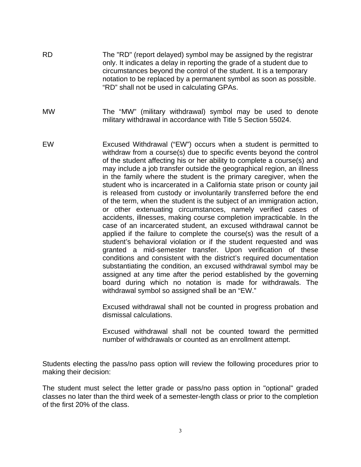- RD The "RD" (report delayed) symbol may be assigned by the registrar only. It indicates a delay in reporting the grade of a student due to circumstances beyond the control of the student. It is a temporary notation to be replaced by a permanent symbol as soon as possible. "RD" shall not be used in calculating GPAs.
- MW The "MW" (military withdrawal) symbol may be used to denote military withdrawal in accordance with Title 5 Section 55024.
- EW Excused Withdrawal ("EW") occurs when a student is permitted to withdraw from a course(s) due to specific events beyond the control of the student affecting his or her ability to complete a course(s) and may include a job transfer outside the geographical region, an illness in the family where the student is the primary caregiver, when the student who is incarcerated in a California state prison or county jail is released from custody or involuntarily transferred before the end of the term, when the student is the subject of an immigration action, or other extenuating circumstances, namely verified cases of accidents, illnesses, making course completion impracticable. In the case of an incarcerated student, an excused withdrawal cannot be applied if the failure to complete the course(s) was the result of a student's behavioral violation or if the student requested and was granted a mid-semester transfer. Upon verification of these conditions and consistent with the district's required documentation substantiating the condition, an excused withdrawal symbol may be assigned at any time after the period established by the governing board during which no notation is made for withdrawals. The withdrawal symbol so assigned shall be an "EW."

 Excused withdrawal shall not be counted in progress probation and dismissal calculations.

 Excused withdrawal shall not be counted toward the permitted number of withdrawals or counted as an enrollment attempt.

Students electing the pass/no pass option will review the following procedures prior to making their decision:

The student must select the letter grade or pass/no pass option in "optional" graded classes no later than the third week of a semester-length class or prior to the completion of the first 20% of the class.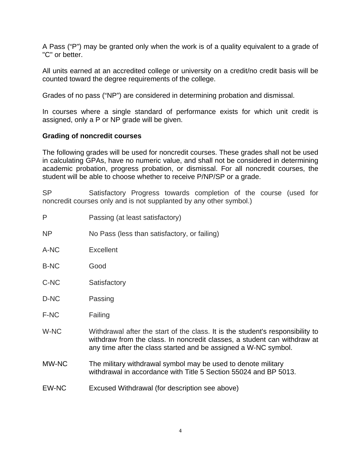A Pass ("P") may be granted only when the work is of a quality equivalent to a grade of "C" or better.

All units earned at an accredited college or university on a credit/no credit basis will be counted toward the degree requirements of the college.

Grades of no pass ("NP") are considered in determining probation and dismissal.

In courses where a single standard of performance exists for which unit credit is assigned, only a P or NP grade will be given.

## **Grading of noncredit courses**

The following grades will be used for noncredit courses. These grades shall not be used in calculating GPAs, have no numeric value, and shall not be considered in determining academic probation, progress probation, or dismissal. For all noncredit courses, the student will be able to choose whether to receive P/NP/SP or a grade.

SP Satisfactory Progress towards completion of the course (used for noncredit courses only and is not supplanted by any other symbol.)

- P Passing (at least satisfactory)
- NP No Pass (less than satisfactory, or failing)
- A-NC Excellent
- B-NC Good
- C-NC Satisfactory
- D-NC Passing
- F-NC Failing
- W-NC Withdrawal after the start of the class. It is the student's responsibility to withdraw from the class. In noncredit classes, a student can withdraw at any time after the class started and be assigned a W-NC symbol.
- MW-NC The military withdrawal symbol may be used to denote military withdrawal in accordance with Title 5 Section 55024 and BP 5013.
- EW-NC Excused Withdrawal (for description see above)